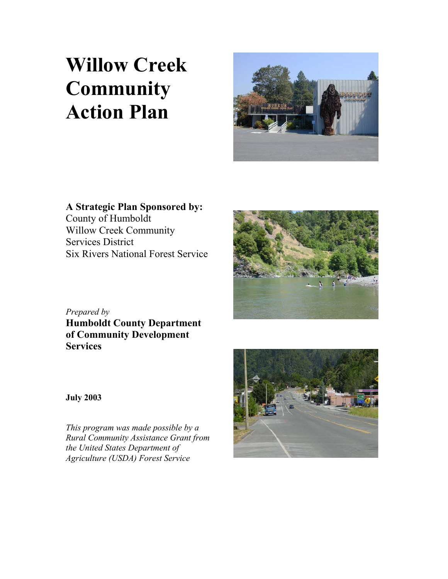# **Willow Creek Community Action Plan**



**A Strategic Plan Sponsored by:**  County of Humboldt Willow Creek Community Services District Six Rivers National Forest Service



*Prepared by* **Humboldt County Department of Community Development Services** 

**July 2003** 

*This program was made possible by a Rural Community Assistance Grant from the United States Department of Agriculture (USDA) Forest Service*

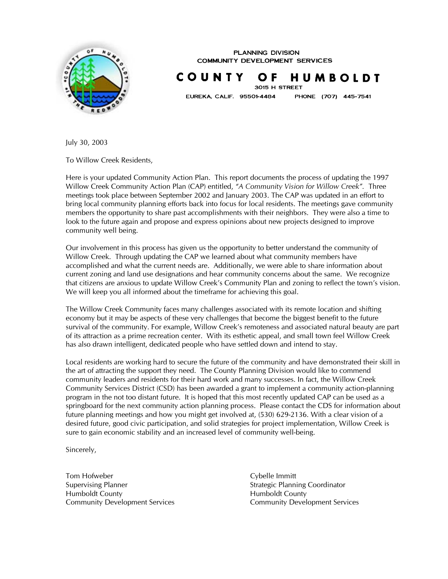

**PLANNING DIVISION COMMUNITY DEVELOPMENT SERVICES** 

COUNTY O F HUMBOLDT 3015 H STREET

EUREKA, CALIF. 95501-4484

PHONE (707) 445-7541

July 30, 2003

To Willow Creek Residents,

Here is your updated Community Action Plan. This report documents the process of updating the 1997 Willow Creek Community Action Plan (CAP) entitled, *"A Community Vision for Willow Creek".* Three meetings took place between September 2002 and January 2003. The CAP was updated in an effort to bring local community planning efforts back into focus for local residents. The meetings gave community members the opportunity to share past accomplishments with their neighbors. They were also a time to look to the future again and propose and express opinions about new projects designed to improve community well being.

Our involvement in this process has given us the opportunity to better understand the community of Willow Creek. Through updating the CAP we learned about what community members have accomplished and what the current needs are. Additionally, we were able to share information about current zoning and land use designations and hear community concerns about the same. We recognize that citizens are anxious to update Willow Creek's Community Plan and zoning to reflect the town's vision. We will keep you all informed about the timeframe for achieving this goal.

The Willow Creek Community faces many challenges associated with its remote location and shifting economy but it may be aspects of these very challenges that become the biggest benefit to the future survival of the community. For example, Willow Creek's remoteness and associated natural beauty are part of its attraction as a prime recreation center. With its esthetic appeal, and small town feel Willow Creek has also drawn intelligent, dedicated people who have settled down and intend to stay.

Local residents are working hard to secure the future of the community and have demonstrated their skill in the art of attracting the support they need. The County Planning Division would like to commend community leaders and residents for their hard work and many successes. In fact, the Willow Creek Community Services District (CSD) has been awarded a grant to implement a community action-planning program in the not too distant future. It is hoped that this most recently updated CAP can be used as a springboard for the next community action planning process. Please contact the CDS for information about future planning meetings and how you might get involved at, (530) 629-2136. With a clear vision of a desired future, good civic participation, and solid strategies for project implementation, Willow Creek is sure to gain economic stability and an increased level of community well-being.

Sincerely,

Tom Hofweber **Cybelle Immitt** Supervising Planner Strategic Planning Coordinator Humboldt County **Humboldt** County

Community Development Services Community Development Services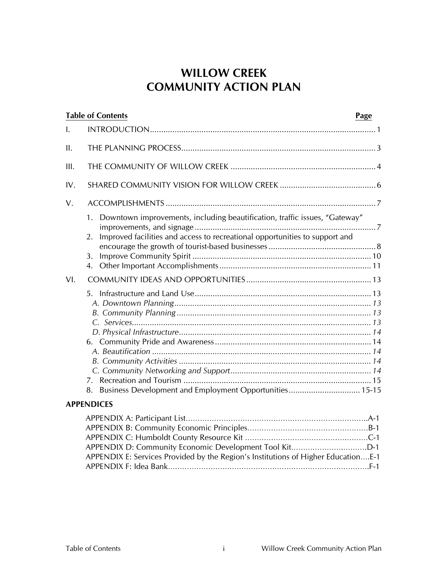### **WILLOW CREEK COMMUNITY ACTION PLAN**

| <b>Table of Contents</b>                                                                                                                                              | Page |
|-----------------------------------------------------------------------------------------------------------------------------------------------------------------------|------|
| I.                                                                                                                                                                    |      |
| II.                                                                                                                                                                   |      |
| III.                                                                                                                                                                  |      |
| IV.                                                                                                                                                                   |      |
| V.                                                                                                                                                                    |      |
| Downtown improvements, including beautification, traffic issues, "Gateway"<br>1.<br>Improved facilities and access to recreational opportunities to support and<br>2. |      |
| 3.<br>$\mathbf{4}$ .                                                                                                                                                  |      |
| VI.                                                                                                                                                                   |      |
|                                                                                                                                                                       |      |
|                                                                                                                                                                       |      |
| Business Development and Employment Opportunities 15-15<br>8.                                                                                                         |      |
| <b>APPENDICES</b>                                                                                                                                                     |      |

| APPENDIX E: Services Provided by the Region's Institutions of Higher EducationE-1 |  |
|-----------------------------------------------------------------------------------|--|
|                                                                                   |  |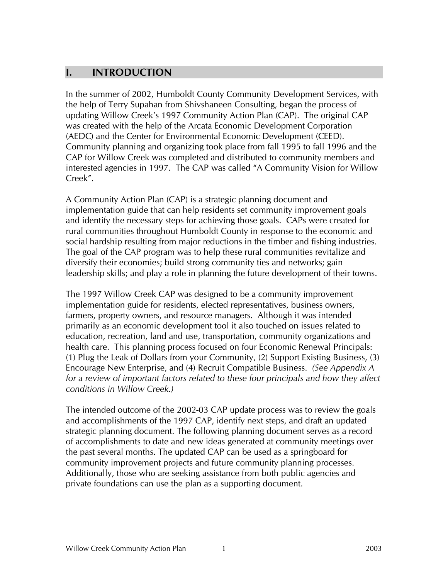### **I. INTRODUCTION**

In the summer of 2002, Humboldt County Community Development Services, with the help of Terry Supahan from Shivshaneen Consulting, began the process of updating Willow Creek's 1997 Community Action Plan (CAP). The original CAP was created with the help of the Arcata Economic Development Corporation (AEDC) and the Center for Environmental Economic Development (CEED). Community planning and organizing took place from fall 1995 to fall 1996 and the CAP for Willow Creek was completed and distributed to community members and interested agencies in 1997. The CAP was called "A Community Vision for Willow Creek".

A Community Action Plan (CAP) is a strategic planning document and implementation guide that can help residents set community improvement goals and identify the necessary steps for achieving those goals. CAPs were created for rural communities throughout Humboldt County in response to the economic and social hardship resulting from major reductions in the timber and fishing industries. The goal of the CAP program was to help these rural communities revitalize and diversify their economies; build strong community ties and networks; gain leadership skills; and play a role in planning the future development of their towns.

The 1997 Willow Creek CAP was designed to be a community improvement implementation guide for residents, elected representatives, business owners, farmers, property owners, and resource managers. Although it was intended primarily as an economic development tool it also touched on issues related to education, recreation, land and use, transportation, community organizations and health care. This planning process focused on four Economic Renewal Principals: (1) Plug the Leak of Dollars from your Community, (2) Support Existing Business, (3) Encourage New Enterprise, and (4) Recruit Compatible Business. *(See Appendix A*  for a review of important factors related to these four principals and how they affect *conditions in Willow Creek.)* 

The intended outcome of the 2002-03 CAP update process was to review the goals and accomplishments of the 1997 CAP, identify next steps, and draft an updated strategic planning document. The following planning document serves as a record of accomplishments to date and new ideas generated at community meetings over the past several months. The updated CAP can be used as a springboard for community improvement projects and future community planning processes. Additionally, those who are seeking assistance from both public agencies and private foundations can use the plan as a supporting document.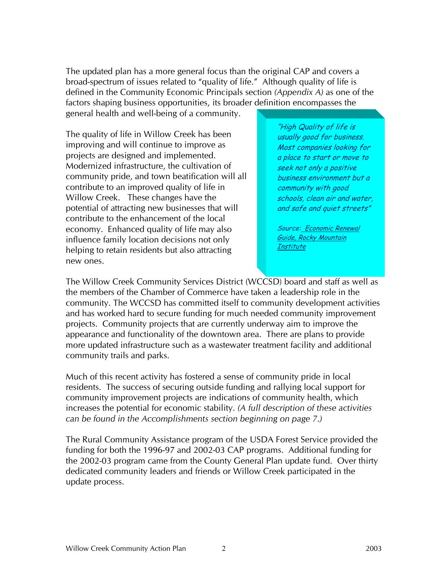The updated plan has a more general focus than the original CAP and covers a broad-spectrum of issues related to "quality of life." Although quality of life is defined in the Community Economic Principals section *(Appendix A)* as one of the factors shaping business opportunities, its broader definition encompasses the general health and well-being of a community.

The quality of life in Willow Creek has been improving and will continue to improve as projects are designed and implemented. Modernized infrastructure, the cultivation of community pride, and town beatification will all contribute to an improved quality of life in Willow Creek. These changes have the potential of attracting new businesses that will contribute to the enhancement of the local economy. Enhanced quality of life may also influence family location decisions not only helping to retain residents but also attracting new ones.

"High Quality of life is usually good for business. Most companies looking for a place to start or move to seek not only a positive business environment but a community with good schools, clean air and water, and safe and quiet streets"

Source: Economic Renewal Guide, Rocky Mountain **Institute** 

The Willow Creek Community Services District (WCCSD) board and staff as well as the members of the Chamber of Commerce have taken a leadership role in the community. The WCCSD has committed itself to community development activities and has worked hard to secure funding for much needed community improvement projects. Community projects that are currently underway aim to improve the appearance and functionality of the downtown area. There are plans to provide more updated infrastructure such as a wastewater treatment facility and additional community trails and parks.

Much of this recent activity has fostered a sense of community pride in local residents. The success of securing outside funding and rallying local support for community improvement projects are indications of community health, which increases the potential for economic stability. *(A full description of these activities can be found in the Accomplishments section beginning on page 7.)* 

The Rural Community Assistance program of the USDA Forest Service provided the funding for both the 1996-97 and 2002-03 CAP programs. Additional funding for the 2002-03 program came from the County General Plan update fund. Over thirty dedicated community leaders and friends or Willow Creek participated in the update process.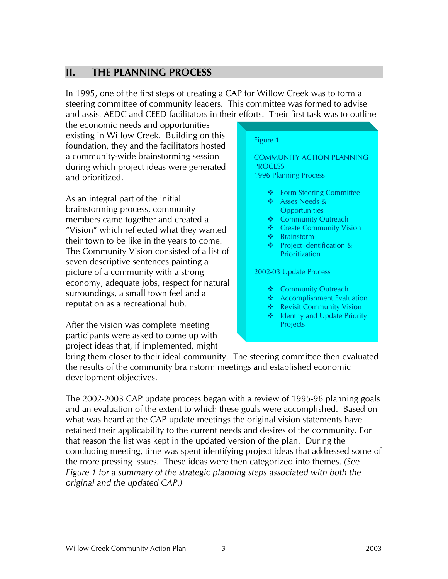### **II. THE PLANNING PROCESS**

In 1995, one of the first steps of creating a CAP for Willow Creek was to form a steering committee of community leaders. This committee was formed to advise and assist AEDC and CEED facilitators in their efforts. Their first task was to outline

the economic needs and opportunities existing in Willow Creek. Building on this foundation, they and the facilitators hosted a community-wide brainstorming session during which project ideas were generated and prioritized.

As an integral part of the initial brainstorming process, community members came together and created a "Vision" which reflected what they wanted their town to be like in the years to come. The Community Vision consisted of a list of seven descriptive sentences painting a picture of a community with a strong economy, adequate jobs, respect for natural surroundings, a small town feel and a reputation as a recreational hub.

After the vision was complete meeting participants were asked to come up with project ideas that, if implemented, might

#### Figure 1

COMMUNITY ACTION PLANNING **PROCESS** 1996 Planning Process

- **❖** Form Steering Committee
- Asses Needs & **Opportunities**
- ❖ Community Outreach
- ❖ Create Community Vision
- Brainstorm
- Project Identification & **Prioritization**

2002-03 Update Process

- ❖ Community Outreach
- ◆ Accomplishment Evaluation
- ❖ Revisit Community Vision
- ❖ Identify and Update Priority **Projects**

bring them closer to their ideal community. The steering committee then evaluated the results of the community brainstorm meetings and established economic development objectives.

The 2002-2003 CAP update process began with a review of 1995-96 planning goals and an evaluation of the extent to which these goals were accomplished. Based on what was heard at the CAP update meetings the original vision statements have retained their applicability to the current needs and desires of the community. For that reason the list was kept in the updated version of the plan. During the concluding meeting, time was spent identifying project ideas that addressed some of the more pressing issues. These ideas were then categorized into themes. *(See Figure 1 for a summary of the strategic planning steps associated with both the original and the updated CAP.)*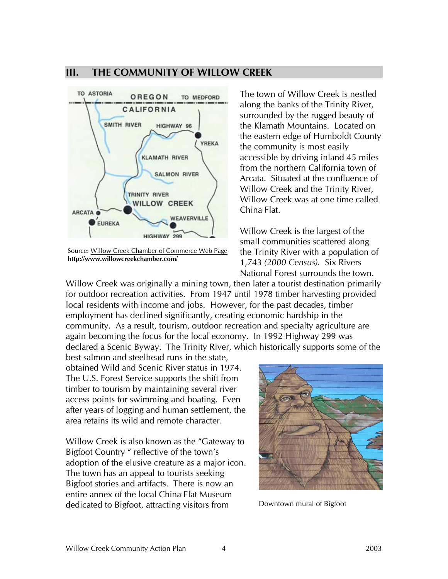#### **III. THE COMMUNITY OF WILLOW CREEK**



Source: Willow Creek Chamber of Commerce Web Page **http://www.willowcreekchamber.com/** 

The town of Willow Creek is nestled along the banks of the Trinity River, surrounded by the rugged beauty of the Klamath Mountains. Located on the eastern edge of Humboldt County the community is most easily accessible by driving inland 45 miles from the northern California town of Arcata. Situated at the confluence of Willow Creek and the Trinity River, Willow Creek was at one time called China Flat.

Willow Creek is the largest of the small communities scattered along the Trinity River with a population of 1,743 *(2000 Census).* Six Rivers National Forest surrounds the town.

Willow Creek was originally a mining town, then later a tourist destination primarily for outdoor recreation activities. From 1947 until 1978 timber harvesting provided local residents with income and jobs. However, for the past decades, timber employment has declined significantly, creating economic hardship in the community. As a result, tourism, outdoor recreation and specialty agriculture are again becoming the focus for the local economy. In 1992 Highway 299 was declared a Scenic Byway. The Trinity River, which historically supports some of the

best salmon and steelhead runs in the state, obtained Wild and Scenic River status in 1974. The U.S. Forest Service supports the shift from timber to tourism by maintaining several river access points for swimming and boating. Even after years of logging and human settlement, the area retains its wild and remote character.

Willow Creek is also known as the "Gateway to Bigfoot Country " reflective of the town's adoption of the elusive creature as a major icon. The town has an appeal to tourists seeking Bigfoot stories and artifacts. There is now an entire annex of the local China Flat Museum dedicated to Bigfoot, attracting visitors from



Downtown mural of Bigfoot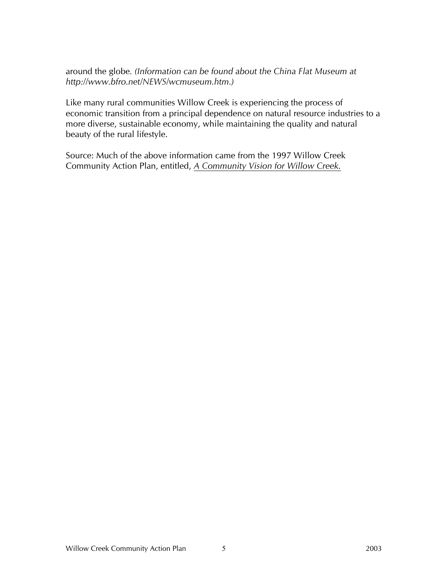around the globe*. (Information can be found about the China Flat Museum at http://www.bfro.net/NEWS/wcmuseum.htm.)* 

Like many rural communities Willow Creek is experiencing the process of economic transition from a principal dependence on natural resource industries to a more diverse, sustainable economy, while maintaining the quality and natural beauty of the rural lifestyle.

Source: Much of the above information came from the 1997 Willow Creek Community Action Plan, entitled, *A Community Vision for Willow Creek.*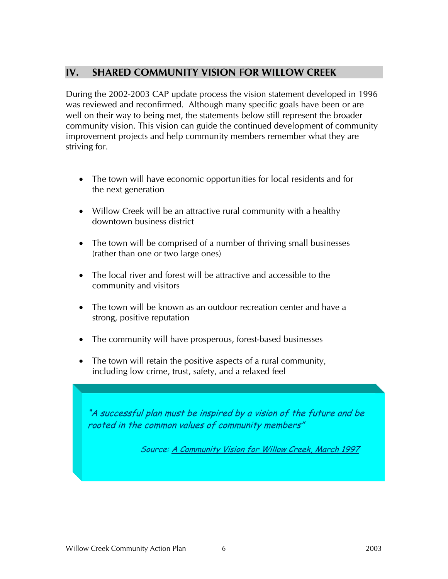### **IV. SHARED COMMUNITY VISION FOR WILLOW CREEK**

During the 2002-2003 CAP update process the vision statement developed in 1996 was reviewed and reconfirmed. Although many specific goals have been or are well on their way to being met, the statements below still represent the broader community vision. This vision can guide the continued development of community improvement projects and help community members remember what they are striving for.

- The town will have economic opportunities for local residents and for the next generation
- Willow Creek will be an attractive rural community with a healthy downtown business district
- The town will be comprised of a number of thriving small businesses (rather than one or two large ones)
- The local river and forest will be attractive and accessible to the community and visitors
- The town will be known as an outdoor recreation center and have a strong, positive reputation
- The community will have prosperous, forest-based businesses
- The town will retain the positive aspects of a rural community, including low crime, trust, safety, and a relaxed feel

"A successful plan must be inspired by a vision of the future and be rooted in the common values of community members"

Source: A Community Vision for Willow Creek, March 1997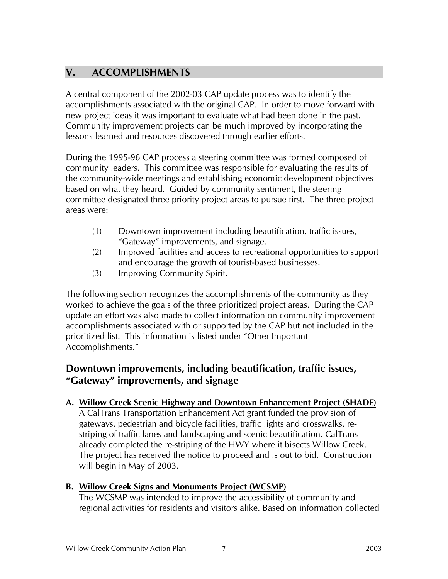### **V. ACCOMPLISHMENTS**

A central component of the 2002-03 CAP update process was to identify the accomplishments associated with the original CAP. In order to move forward with new project ideas it was important to evaluate what had been done in the past. Community improvement projects can be much improved by incorporating the lessons learned and resources discovered through earlier efforts.

During the 1995-96 CAP process a steering committee was formed composed of community leaders. This committee was responsible for evaluating the results of the community-wide meetings and establishing economic development objectives based on what they heard. Guided by community sentiment, the steering committee designated three priority project areas to pursue first. The three project areas were:

- (1) Downtown improvement including beautification, traffic issues, "Gateway" improvements, and signage.
- (2) Improved facilities and access to recreational opportunities to support and encourage the growth of tourist-based businesses.
- (3) Improving Community Spirit.

The following section recognizes the accomplishments of the community as they worked to achieve the goals of the three prioritized project areas. During the CAP update an effort was also made to collect information on community improvement accomplishments associated with or supported by the CAP but not included in the prioritized list. This information is listed under "Other Important Accomplishments."

### **Downtown improvements, including beautification, traffic issues, "Gateway" improvements, and signage**

#### **A. Willow Creek Scenic Highway and Downtown Enhancement Project (SHADE)**

A CalTrans Transportation Enhancement Act grant funded the provision of gateways, pedestrian and bicycle facilities, traffic lights and crosswalks, restriping of traffic lanes and landscaping and scenic beautification. CalTrans already completed the re-striping of the HWY where it bisects Willow Creek. The project has received the notice to proceed and is out to bid. Construction will begin in May of 2003.

#### **B. Willow Creek Signs and Monuments Project (WCSMP)**

The WCSMP was intended to improve the accessibility of community and regional activities for residents and visitors alike. Based on information collected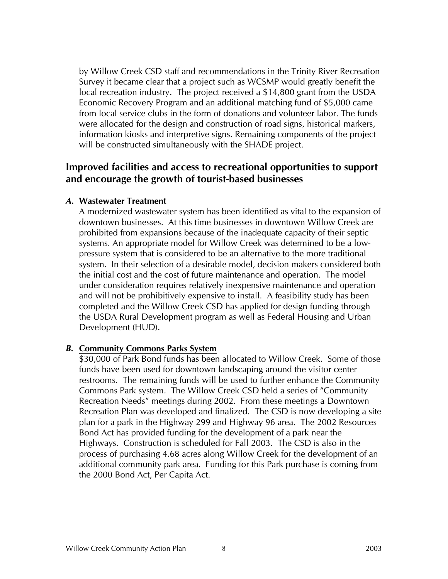by Willow Creek CSD staff and recommendations in the Trinity River Recreation Survey it became clear that a project such as WCSMP would greatly benefit the local recreation industry. The project received a \$14,800 grant from the USDA Economic Recovery Program and an additional matching fund of \$5,000 came from local service clubs in the form of donations and volunteer labor. The funds were allocated for the design and construction of road signs, historical markers, information kiosks and interpretive signs. Remaining components of the project will be constructed simultaneously with the SHADE project.

### **Improved facilities and access to recreational opportunities to support and encourage the growth of tourist-based businesses**

#### *A.* **Wastewater Treatment**

A modernized wastewater system has been identified as vital to the expansion of downtown businesses. At this time businesses in downtown Willow Creek are prohibited from expansions because of the inadequate capacity of their septic systems. An appropriate model for Willow Creek was determined to be a lowpressure system that is considered to be an alternative to the more traditional system. In their selection of a desirable model, decision makers considered both the initial cost and the cost of future maintenance and operation. The model under consideration requires relatively inexpensive maintenance and operation and will not be prohibitively expensive to install. A feasibility study has been completed and the Willow Creek CSD has applied for design funding through the USDA Rural Development program as well as Federal Housing and Urban Development (HUD).

#### *B.* **Community Commons Parks System**

\$30,000 of Park Bond funds has been allocated to Willow Creek. Some of those funds have been used for downtown landscaping around the visitor center restrooms. The remaining funds will be used to further enhance the Community Commons Park system. The Willow Creek CSD held a series of "Community Recreation Needs" meetings during 2002. From these meetings a Downtown Recreation Plan was developed and finalized. The CSD is now developing a site plan for a park in the Highway 299 and Highway 96 area. The 2002 Resources Bond Act has provided funding for the development of a park near the Highways. Construction is scheduled for Fall 2003. The CSD is also in the process of purchasing 4.68 acres along Willow Creek for the development of an additional community park area. Funding for this Park purchase is coming from the 2000 Bond Act, Per Capita Act.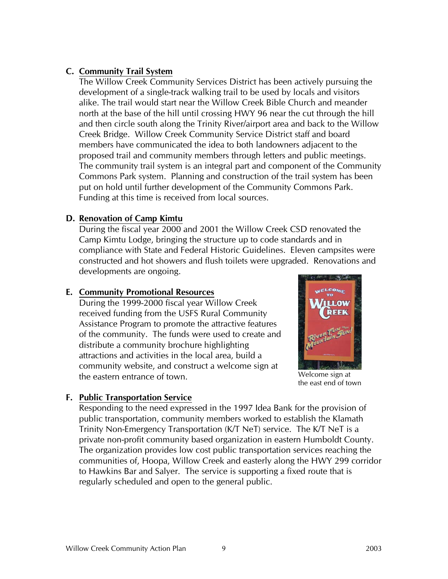### **C. Community Trail System**

The Willow Creek Community Services District has been actively pursuing the development of a single-track walking trail to be used by locals and visitors alike. The trail would start near the Willow Creek Bible Church and meander north at the base of the hill until crossing HWY 96 near the cut through the hill and then circle south along the Trinity River/airport area and back to the Willow Creek Bridge. Willow Creek Community Service District staff and board members have communicated the idea to both landowners adjacent to the proposed trail and community members through letters and public meetings. The community trail system is an integral part and component of the Community Commons Park system. Planning and construction of the trail system has been put on hold until further development of the Community Commons Park. Funding at this time is received from local sources.

#### **D. Renovation of Camp Kimtu**

During the fiscal year 2000 and 2001 the Willow Creek CSD renovated the Camp Kimtu Lodge, bringing the structure up to code standards and in compliance with State and Federal Historic Guidelines. Eleven campsites were constructed and hot showers and flush toilets were upgraded. Renovations and developments are ongoing.

### **E. Community Promotional Resources**

During the 1999-2000 fiscal year Willow Creek received funding from the USFS Rural Community Assistance Program to promote the attractive features of the community. The funds were used to create and distribute a community brochure highlighting attractions and activities in the local area, build a community website, and construct a welcome sign at the eastern entrance of town.



Welcome sign at the east end of town

### **F. Public Transportation Service**

Responding to the need expressed in the 1997 Idea Bank for the provision of public transportation, community members worked to establish the Klamath Trinity Non-Emergency Transportation (K/T NeT) service. The K/T NeT is a private non-profit community based organization in eastern Humboldt County. The organization provides low cost public transportation services reaching the communities of, Hoopa, Willow Creek and easterly along the HWY 299 corridor to Hawkins Bar and Salyer. The service is supporting a fixed route that is regularly scheduled and open to the general public.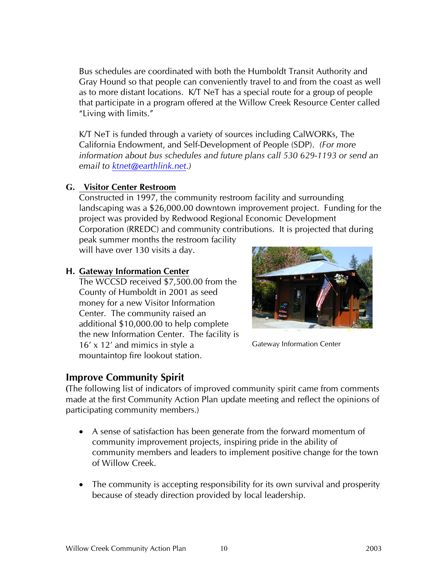Bus schedules are coordinated with both the Humboldt Transit Authority and Gray Hound so that people can conveniently travel to and from the coast as well as to more distant locations. K/T NeT has a special route for a group of people that participate in a program offered at the Willow Creek Resource Center called "Living with limits."

K/T NeT is funded through a variety of sources including CalWORKs, The California Endowment, and Self-Development of People (SDP). *(For more information about bus schedules and future plans call 530 629-1193 or send an email to ktnet@earthlink.net.)* 

#### **G. Visitor Center Restroom**

Constructed in 1997, the community restroom facility and surrounding landscaping was a \$26,000.00 downtown improvement project. Funding for the project was provided by Redwood Regional Economic Development Corporation (RREDC) and community contributions. It is projected that during peak summer months the restroom facility

will have over 130 visits a day.

#### **H. Gateway Information Center**

The WCCSD received \$7,500.00 from the County of Humboldt in 2001 as seed money for a new Visitor Information Center. The community raised an additional \$10,000.00 to help complete the new Information Center. The facility is 16' x 12' and mimics in style a mountaintop fire lookout station.

## **Improve Community Spirit**



Gateway Information Center

**(**The following list of indicators of improved community spirit came from comments made at the first Community Action Plan update meeting and reflect the opinions of participating community members.)

- A sense of satisfaction has been generate from the forward momentum of community improvement projects, inspiring pride in the ability of community members and leaders to implement positive change for the town of Willow Creek.
- The community is accepting responsibility for its own survival and prosperity because of steady direction provided by local leadership.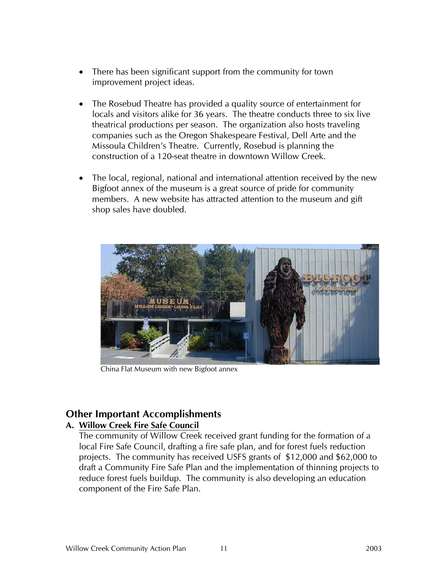- There has been significant support from the community for town improvement project ideas.
- The Rosebud Theatre has provided a quality source of entertainment for locals and visitors alike for 36 years. The theatre conducts three to six live theatrical productions per season. The organization also hosts traveling companies such as the Oregon Shakespeare Festival, Dell Arte and the Missoula Children's Theatre. Currently, Rosebud is planning the construction of a 120-seat theatre in downtown Willow Creek.
- The local, regional, national and international attention received by the new Bigfoot annex of the museum is a great source of pride for community members. A new website has attracted attention to the museum and gift shop sales have doubled.



China Flat Museum with new Bigfoot annex

### **Other Important Accomplishments**

#### **A. Willow Creek Fire Safe Council**

The community of Willow Creek received grant funding for the formation of a local Fire Safe Council, drafting a fire safe plan, and for forest fuels reduction projects. The community has received USFS grants of \$12,000 and \$62,000 to draft a Community Fire Safe Plan and the implementation of thinning projects to reduce forest fuels buildup. The community is also developing an education component of the Fire Safe Plan.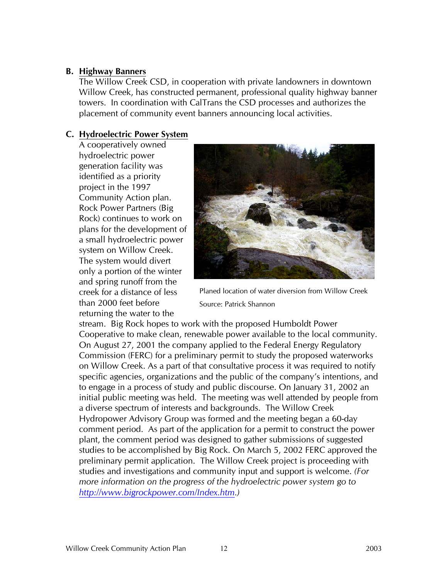#### **B. Highway Banners**

The Willow Creek CSD, in cooperation with private landowners in downtown Willow Creek, has constructed permanent, professional quality highway banner towers. In coordination with CalTrans the CSD processes and authorizes the placement of community event banners announcing local activities.

#### **C. Hydroelectric Power System**

A cooperatively owned hydroelectric power generation facility was identified as a priority project in the 1997 Community Action plan. Rock Power Partners (Big Rock) continues to work on plans for the development of a small hydroelectric power system on Willow Creek. The system would divert only a portion of the winter and spring runoff from the creek for a distance of less than 2000 feet before returning the water to the



Planed location of water diversion from Willow Creek Source: Patrick Shannon

stream. Big Rock hopes to work with the proposed Humboldt Power Cooperative to make clean, renewable power available to the local community. On August 27, 2001 the company applied to the Federal Energy Regulatory Commission (FERC) for a preliminary permit to study the proposed waterworks on Willow Creek. As a part of that consultative process it was required to notify specific agencies, organizations and the public of the company's intentions, and to engage in a process of study and public discourse. On January 31, 2002 an initial public meeting was held. The meeting was well attended by people from a diverse spectrum of interests and backgrounds. The Willow Creek Hydropower Advisory Group was formed and the meeting began a 60-day comment period. As part of the application for a permit to construct the power plant, the comment period was designed to gather submissions of suggested studies to be accomplished by Big Rock. On March 5, 2002 FERC approved the preliminary permit application. The Willow Creek project is proceeding with studies and investigations and community input and support is welcome. *(For more information on the progress of the hydroelectric power system go to http://www.bigrockpower.com/Index.htm.)*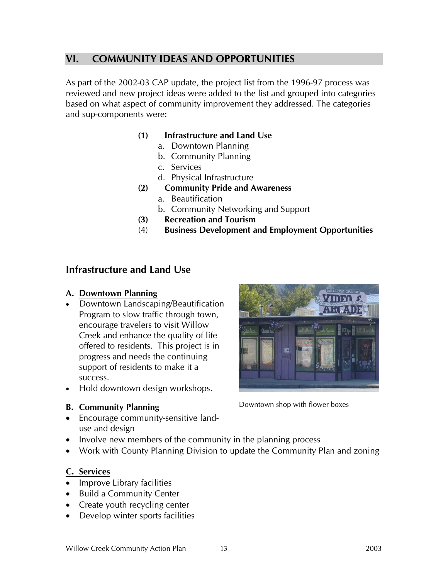### **VI. COMMUNITY IDEAS AND OPPORTUNITIES**

As part of the 2002-03 CAP update, the project list from the 1996-97 process was reviewed and new project ideas were added to the list and grouped into categories based on what aspect of community improvement they addressed. The categories and sup-components were:

#### **(1) Infrastructure and Land Use**

- a. Downtown Planning
- b. Community Planning
- c. Services
- d. Physical Infrastructure
- **(2) Community Pride and Awareness** 
	- a. Beautification
	- b. Community Networking and Support
- **(3) Recreation and Tourism**
- (4) **Business Development and Employment Opportunities**

#### **Infrastructure and Land Use**

#### **A. Downtown Planning**

- Downtown Landscaping/Beautification Program to slow traffic through town, encourage travelers to visit Willow Creek and enhance the quality of life offered to residents. This project is in progress and needs the continuing support of residents to make it a success.
- Hold downtown design workshops.

#### **B. Community Planning**

- Encourage community-sensitive landuse and design
- Involve new members of the community in the planning process
- Work with County Planning Division to update the Community Plan and zoning

#### **C. Services**

- Improve Library facilities
- Build a Community Center
- Create youth recycling center
- Develop winter sports facilities



Downtown shop with flower boxes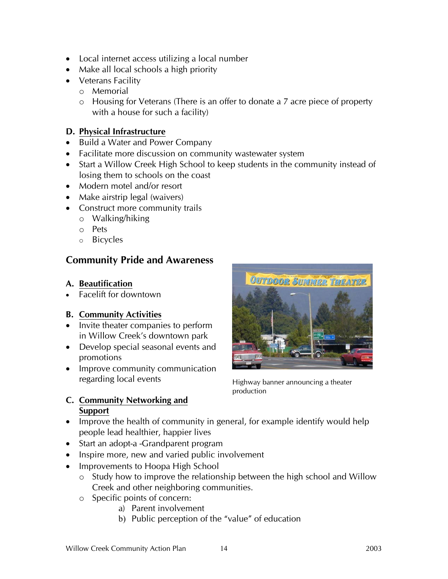- Local internet access utilizing a local number
- Make all local schools a high priority
- Veterans Facility
	- o Memorial
	- o Housing for Veterans (There is an offer to donate a 7 acre piece of property with a house for such a facility)

### **D. Physical Infrastructure**

- Build a Water and Power Company
- Facilitate more discussion on community wastewater system
- Start a Willow Creek High School to keep students in the community instead of losing them to schools on the coast
- Modern motel and/or resort
- Make airstrip legal (waivers)
- Construct more community trails
	- o Walking/hiking
	- o Pets
	- o Bicycles

### **Community Pride and Awareness**

#### **A. Beautification**

• Facelift for downtown

### **B. Community Activities**

- Invite theater companies to perform in Willow Creek's downtown park
- Develop special seasonal events and promotions
- Improve community communication regarding local events

#### **C. Community Networking and Support**



Highway banner announcing a theater production

- Improve the health of community in general, for example identify would help people lead healthier, happier lives
- Start an adopt-a -Grandparent program
- Inspire more, new and varied public involvement
- Improvements to Hoopa High School
	- o Study how to improve the relationship between the high school and Willow Creek and other neighboring communities.
	- o Specific points of concern:
		- a) Parent involvement
		- b) Public perception of the "value" of education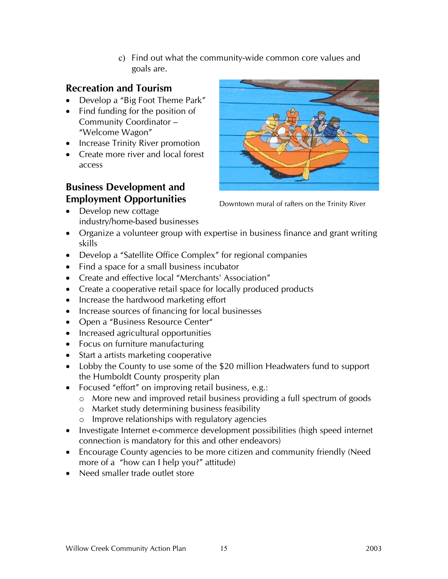c) Find out what the community-wide common core values and goals are.

### **Recreation and Tourism**

- Develop a "Big Foot Theme Park"
- Find funding for the position of Community Coordinator – "Welcome Wagon"
- Increase Trinity River promotion
- Create more river and local forest access

### **Business Development and Employment Opportunities**

• Develop new cottage industry/home-based businesses



Downtown mural of rafters on the Trinity River

- Organize a volunteer group with expertise in business finance and grant writing skills
- Develop a "Satellite Office Complex" for regional companies
- Find a space for a small business incubator
- Create and effective local "Merchants' Association"
- Create a cooperative retail space for locally produced products
- Increase the hardwood marketing effort
- Increase sources of financing for local businesses
- Open a "Business Resource Center"
- Increased agricultural opportunities
- Focus on furniture manufacturing
- Start a artists marketing cooperative
- Lobby the County to use some of the \$20 million Headwaters fund to support the Humboldt County prosperity plan
- Focused "effort" on improving retail business, e.g.:
	- o More new and improved retail business providing a full spectrum of goods
	- o Market study determining business feasibility
	- o Improve relationships with regulatory agencies
- Investigate Internet e-commerce development possibilities (high speed internet connection is mandatory for this and other endeavors)
- Encourage County agencies to be more citizen and community friendly (Need more of a "how can I help you?" attitude)
- Need smaller trade outlet store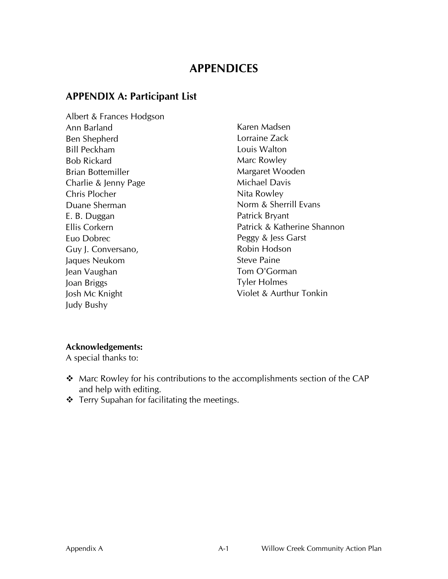### **APPENDICES**

### **APPENDIX A: Participant List**

Albert & Frances Hodgson Ann Barland Ben Shepherd Bill Peckham Bob Rickard Brian Bottemiller Charlie & Jenny Page Chris Plocher Duane Sherman E. B. Duggan Ellis Corkern Euo Dobrec Guy J. Conversano, Jaques Neukom Jean Vaughan Joan Briggs Josh Mc Knight Judy Bushy

Karen Madsen Lorraine Zack Louis Walton Marc Rowley Margaret Wooden Michael Davis Nita Rowley Norm & Sherrill Evans Patrick Bryant Patrick & Katherine Shannon Peggy & Jess Garst Robin Hodson Steve Paine Tom O'Gorman Tyler Holmes Violet & Aurthur Tonkin

#### **Acknowledgements:**

A special thanks to:

- Marc Rowley for his contributions to the accomplishments section of the CAP and help with editing.
- \* Terry Supahan for facilitating the meetings.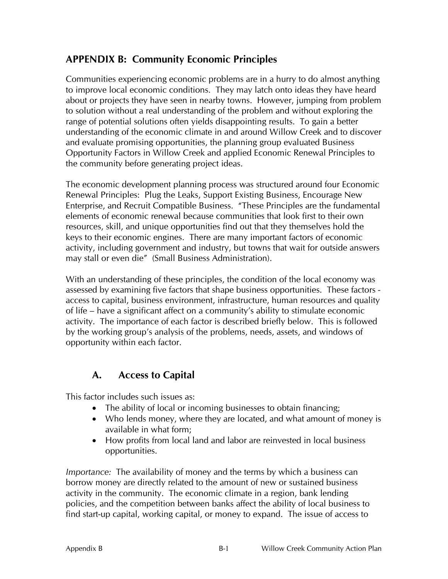### **APPENDIX B: Community Economic Principles**

Communities experiencing economic problems are in a hurry to do almost anything to improve local economic conditions. They may latch onto ideas they have heard about or projects they have seen in nearby towns. However, jumping from problem to solution without a real understanding of the problem and without exploring the range of potential solutions often yields disappointing results. To gain a better understanding of the economic climate in and around Willow Creek and to discover and evaluate promising opportunities, the planning group evaluated Business Opportunity Factors in Willow Creek and applied Economic Renewal Principles to the community before generating project ideas.

The economic development planning process was structured around four Economic Renewal Principles: Plug the Leaks, Support Existing Business, Encourage New Enterprise, and Recruit Compatible Business. "These Principles are the fundamental elements of economic renewal because communities that look first to their own resources, skill, and unique opportunities find out that they themselves hold the keys to their economic engines. There are many important factors of economic activity, including government and industry, but towns that wait for outside answers may stall or even die" (Small Business Administration).

With an understanding of these principles, the condition of the local economy was assessed by examining five factors that shape business opportunities. These factors access to capital, business environment, infrastructure, human resources and quality of life – have a significant affect on a community's ability to stimulate economic activity. The importance of each factor is described briefly below. This is followed by the working group's analysis of the problems, needs, assets, and windows of opportunity within each factor.

### **A. Access to Capital**

This factor includes such issues as:

- The ability of local or incoming businesses to obtain financing;
- Who lends money, where they are located, and what amount of money is available in what form;
- How profits from local land and labor are reinvested in local business opportunities.

*Importance:* The availability of money and the terms by which a business can borrow money are directly related to the amount of new or sustained business activity in the community. The economic climate in a region, bank lending policies, and the competition between banks affect the ability of local business to find start-up capital, working capital, or money to expand. The issue of access to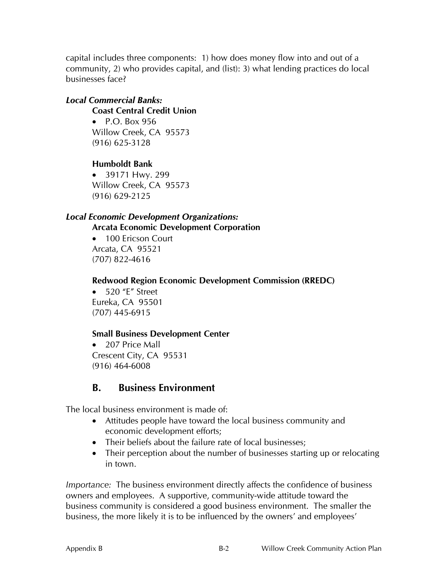capital includes three components: 1) how does money flow into and out of a community, 2) who provides capital, and (list): 3) what lending practices do local businesses face?

#### *Local Commercial Banks:*

**Coast Central Credit Union** 

• P.O. Box 956 Willow Creek, CA 95573 (916) 625-3128

**Humboldt Bank** 

• 39171 Hwy. 299 Willow Creek, CA 95573 (916) 629-2125

#### *Local Economic Development Organizations:*

**Arcata Economic Development Corporation** 

• 100 Ericson Court Arcata, CA 95521 (707) 822-4616

**Redwood Region Economic Development Commission (RREDC)** 

• 520 "F" Street Eureka, CA 95501 (707) 445-6915

#### **Small Business Development Center**

• 207 Price Mall Crescent City, CA 95531 (916) 464-6008

### **B. Business Environment**

The local business environment is made of:

- Attitudes people have toward the local business community and economic development efforts;
- Their beliefs about the failure rate of local businesses;
- Their perception about the number of businesses starting up or relocating in town.

*Importance:* The business environment directly affects the confidence of business owners and employees. A supportive, community-wide attitude toward the business community is considered a good business environment. The smaller the business, the more likely it is to be influenced by the owners' and employees'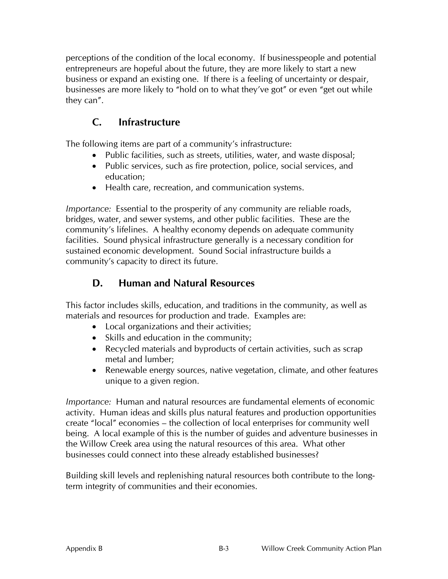perceptions of the condition of the local economy. If businesspeople and potential entrepreneurs are hopeful about the future, they are more likely to start a new business or expand an existing one. If there is a feeling of uncertainty or despair, businesses are more likely to "hold on to what they've got" or even "get out while they can".

### **C. Infrastructure**

The following items are part of a community's infrastructure:

- Public facilities, such as streets, utilities, water, and waste disposal;
- Public services, such as fire protection, police, social services, and education;
- Health care, recreation, and communication systems.

*Importance:* Essential to the prosperity of any community are reliable roads, bridges, water, and sewer systems, and other public facilities. These are the community's lifelines. A healthy economy depends on adequate community facilities. Sound physical infrastructure generally is a necessary condition for sustained economic development. Sound Social infrastructure builds a community's capacity to direct its future.

### **D. Human and Natural Resources**

This factor includes skills, education, and traditions in the community, as well as materials and resources for production and trade. Examples are:

- Local organizations and their activities;
- Skills and education in the community;
- Recycled materials and byproducts of certain activities, such as scrap metal and lumber;
- Renewable energy sources, native vegetation, climate, and other features unique to a given region.

*Importance:* Human and natural resources are fundamental elements of economic activity. Human ideas and skills plus natural features and production opportunities create "local" economies – the collection of local enterprises for community well being. A local example of this is the number of guides and adventure businesses in the Willow Creek area using the natural resources of this area. What other businesses could connect into these already established businesses?

Building skill levels and replenishing natural resources both contribute to the longterm integrity of communities and their economies.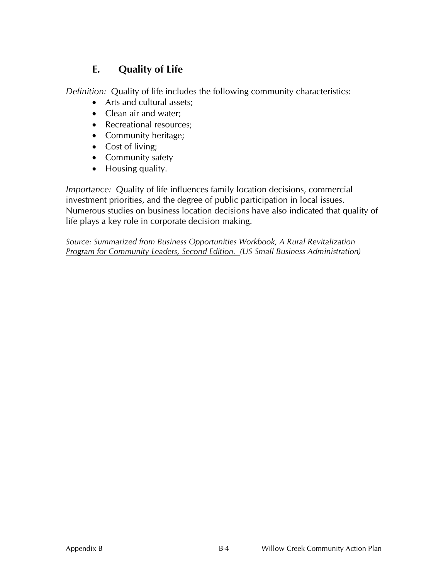### **E. Quality of Life**

*Definition:* Quality of life includes the following community characteristics:

- Arts and cultural assets;
- Clean air and water;
- Recreational resources:
- Community heritage;
- Cost of living:
- Community safety
- Housing quality.

*Importance:* Quality of life influences family location decisions, commercial investment priorities, and the degree of public participation in local issues. Numerous studies on business location decisions have also indicated that quality of life plays a key role in corporate decision making.

*Source: Summarized from Business Opportunities Workbook, A Rural Revitalization Program for Community Leaders, Second Edition. (US Small Business Administration)*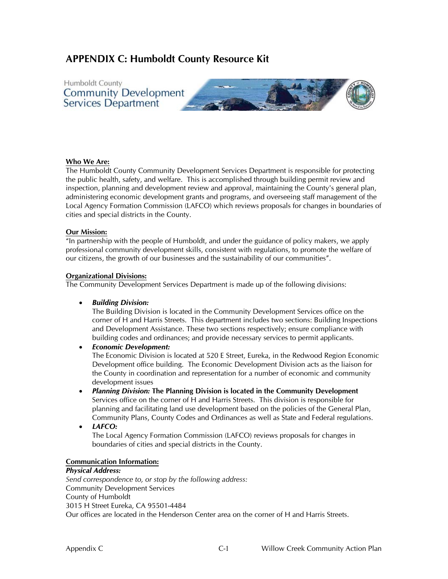### **APPENDIX C: Humboldt County Resource Kit**



#### **Who We Are:**

The Humboldt County Community Development Services Department is responsible for protecting the public health, safety, and welfare. This is accomplished through building permit review and inspection, planning and development review and approval, maintaining the County's general plan, administering economic development grants and programs, and overseeing staff management of the Local Agency Formation Commission (LAFCO) which reviews proposals for changes in boundaries of cities and special districts in the County.

#### **Our Mission:**

"In partnership with the people of Humboldt, and under the guidance of policy makers, we apply professional community development skills, consistent with regulations, to promote the welfare of our citizens, the growth of our businesses and the sustainability of our communities".

#### **Organizational Divisions:**

The Community Development Services Department is made up of the following divisions:

• *Building Division:* 

The Building Division is located in the Community Development Services office on the corner of H and Harris Streets. This department includes two sections: Building Inspections and Development Assistance. These two sections respectively; ensure compliance with building codes and ordinances; and provide necessary services to permit applicants.

• *Economic Development:*

The Economic Division is located at 520 E Street, Eureka, in the Redwood Region Economic Development office building. The Economic Development Division acts as the liaison for the County in coordination and representation for a number of economic and community development issues

• *Planning Division:* **The Planning Division is located in the Community Development** Services office on the corner of H and Harris Streets. This division is responsible for planning and facilitating land use development based on the policies of the General Plan, Community Plans, County Codes and Ordinances as well as State and Federal regulations.

• *LAFCO:* 

The Local Agency Formation Commission (LAFCO) reviews proposals for changes in boundaries of cities and special districts in the County.

#### **Communication Information:**

#### *Physical Address:*

*Send correspondence to, or stop by the following address:*  Community Development Services County of Humboldt 3015 H Street Eureka, CA 95501-4484 Our offices are located in the Henderson Center area on the corner of H and Harris Streets.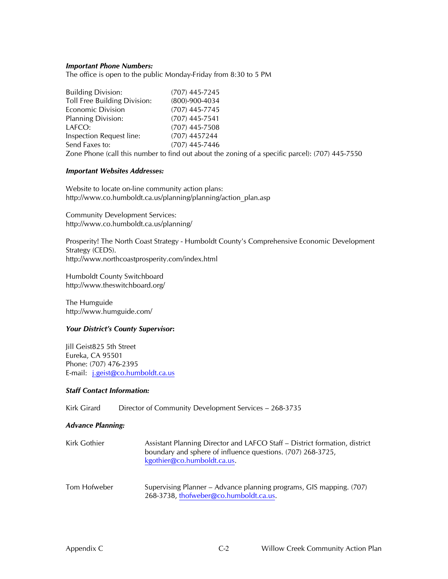#### *Important Phone Numbers:*

The office is open to the public Monday-Friday from 8:30 to 5 PM

| <b>Building Division:</b>    | (707) 445-7245                                                                                  |
|------------------------------|-------------------------------------------------------------------------------------------------|
| Toll Free Building Division: | $(800) - 900 - 4034$                                                                            |
| <b>Economic Division</b>     | $(707)$ 445-7745                                                                                |
| <b>Planning Division:</b>    | $(707)$ 445-7541                                                                                |
| LAFCO:                       | $(707)$ 445-7508                                                                                |
| Inspection Request line:     | $(707)$ 4457244                                                                                 |
| Send Faxes to:               | $(707)$ 445-7446                                                                                |
|                              | Zone Phone (call this number to find out about the zoning of a specific parcel): (707) 445-7550 |

#### *Important Websites Addresses:*

Website to locate on-line community action plans: http://www.co.humboldt.ca.us/planning/planning/action\_plan.asp

Community Development Services: http://www.co.humboldt.ca.us/planning/

Prosperity! The North Coast Strategy - Humboldt County's Comprehensive Economic Development Strategy (CEDS). http://www.northcoastprosperity.com/index.html

Humboldt County Switchboard http://www.theswitchboard.org/

The Humguide http://www.humguide.com/

#### *Your District's County Supervisor***:**

Jill Geist825 5th Street Eureka, CA 95501 Phone: (707) 476-2395 E-mail: j.geist@co.humboldt.ca.us

#### *Staff Contact Information:*

Kirk Girard Director of Community Development Services - 268-3735

#### *Advance Planning:*

| Kirk Gothier | Assistant Planning Director and LAFCO Staff – District formation, district<br>boundary and sphere of influence questions. (707) 268-3725,<br>kgothier@co.humboldt.ca.us. |
|--------------|--------------------------------------------------------------------------------------------------------------------------------------------------------------------------|
|              |                                                                                                                                                                          |

Tom Hofweber Supervising Planner – Advance planning programs, GIS mapping. (707) 268-3738, thofweber@co.humboldt.ca.us.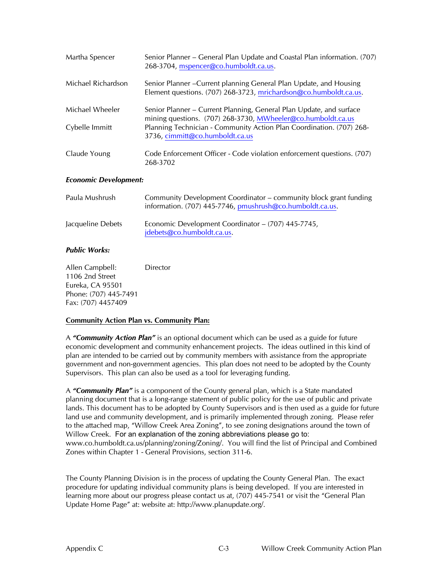| Martha Spencer               | Senior Planner – General Plan Update and Coastal Plan information. (707)<br>268-3704, mspencer@co.humboldt.ca.us.                       |
|------------------------------|-----------------------------------------------------------------------------------------------------------------------------------------|
| Michael Richardson           | Senior Planner – Current planning General Plan Update, and Housing<br>Element questions. (707) 268-3723, mrichardson@co.humboldt.ca.us. |
| Michael Wheeler              | Senior Planner – Current Planning, General Plan Update, and surface<br>mining questions. (707) 268-3730, MWheeler@co.humboldt.ca.us     |
| Cybelle Immitt               | Planning Technician - Community Action Plan Coordination. (707) 268-<br>3736, cimmitt@co.humboldt.ca.us                                 |
| Claude Young                 | Code Enforcement Officer - Code violation enforcement questions. (707)<br>268-3702                                                      |
| <b>Economic Development:</b> |                                                                                                                                         |

| Paula Mushrush    | Community Development Coordinator – community block grant funding<br>information. (707) 445-7746, pmushrush@co.humboldt.ca.us. |
|-------------------|--------------------------------------------------------------------------------------------------------------------------------|
| Jacqueline Debets | Economic Development Coordinator - (707) 445-7745,<br>jdebets@co.humboldt.ca.us.                                               |

#### *Public Works:*

Allen Campbell: Director 1106 2nd Street Eureka, CA 95501 Phone: (707) 445-7491 Fax: (707) 4457409

#### **Community Action Plan vs. Community Plan:**

A *"Community Action Plan"* is an optional document which can be used as a guide for future economic development and community enhancement projects. The ideas outlined in this kind of plan are intended to be carried out by community members with assistance from the appropriate government and non-government agencies. This plan does not need to be adopted by the County Supervisors. This plan can also be used as a tool for leveraging funding.

A *"Community Plan"* is a component of the County general plan, which is a State mandated planning document that is a long-range statement of public policy for the use of public and private lands. This document has to be adopted by County Supervisors and is then used as a guide for future land use and community development, and is primarily implemented through zoning. Please refer to the attached map, "Willow Creek Area Zoning", to see zoning designations around the town of Willow Creek. For an explanation of the zoning abbreviations please go to: www.co.humboldt.ca.us/planning/zoning/Zoning/. You will find the list of Principal and Combined Zones within Chapter 1 - General Provisions, section 311-6.

The County Planning Division is in the process of updating the County General Plan. The exact procedure for updating individual community plans is being developed. If you are interested in learning more about our progress please contact us at, (707) 445-7541 or visit the "General Plan Update Home Page" at: website at: http://www.planupdate.org/.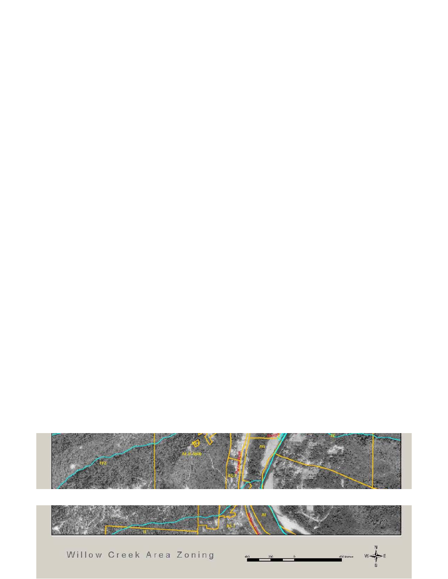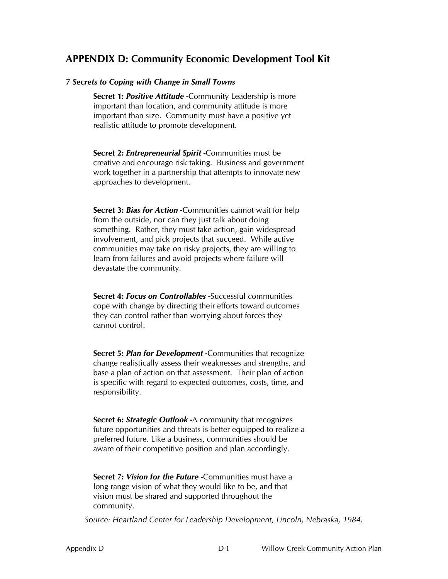### **APPENDIX D: Community Economic Development Tool Kit**

#### **7** *Secrets to Coping with Change in Small Towns*

**Secret 1:** *Positive Attitude* **-**Community Leadership is more important than location, and community attitude is more important than size. Community must have a positive yet realistic attitude to promote development.

**Secret 2:** *Entrepreneurial Spirit* **-**Communities must be creative and encourage risk taking. Business and government work together in a partnership that attempts to innovate new approaches to development.

**Secret 3:** *Bias for Action* **-**Communities cannot wait for help from the outside, nor can they just talk about doing something. Rather, they must take action, gain widespread involvement, and pick projects that succeed. While active communities may take on risky projects, they are willing to learn from failures and avoid projects where failure will devastate the community.

**Secret 4:** *Focus on Controllables* **-**Successful communities cope with change by directing their efforts toward outcomes they can control rather than worrying about forces they cannot control.

**Secret 5:** *Plan for Development* **-**Communities that recognize change realistically assess their weaknesses and strengths, and base a plan of action on that assessment. Their plan of action is specific with regard to expected outcomes, costs, time, and responsibility.

**Secret 6:** *Strategic Outlook* **-**A community that recognizes future opportunities and threats is better equipped to realize a preferred future. Like a business, communities should be aware of their competitive position and plan accordingly.

**Secret 7:** *Vision for the Future* -Communities must have a long range vision of what they would like to be, and that vision must be shared and supported throughout the community.

*Source: Heartland Center for Leadership Development, Lincoln, Nebraska, 1984.*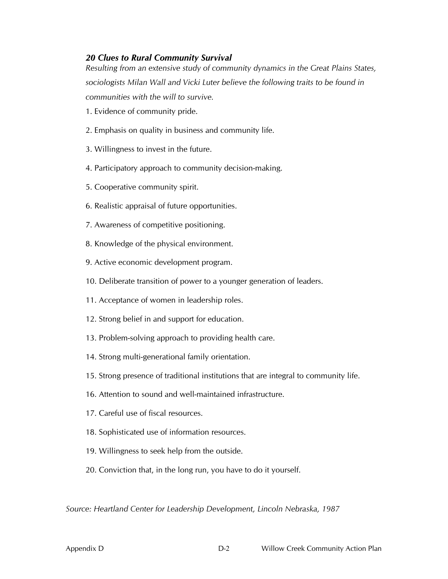#### *20 Clues to Rural Community Survival*

*Resulting from an extensive study of community dynamics in the Great Plains States, sociologists Milan Wall and Vicki Luter believe the following traits to be found in communities with the will to survive.* 

- 1. Evidence of community pride.
- 2. Emphasis on quality in business and community life.
- 3. Willingness to invest in the future.
- 4. Participatory approach to community decision-making.
- 5. Cooperative community spirit.
- 6. Realistic appraisal of future opportunities.
- 7. Awareness of competitive positioning.
- 8. Knowledge of the physical environment.
- 9. Active economic development program.
- 10. Deliberate transition of power to a younger generation of leaders.
- 11. Acceptance of women in leadership roles.
- 12. Strong belief in and support for education.
- 13. Problem-solving approach to providing health care.
- 14. Strong multi-generational family orientation.
- 15. Strong presence of traditional institutions that are integral to community life.
- 16. Attention to sound and well-maintained infrastructure.
- 17. Careful use of fiscal resources.
- 18. Sophisticated use of information resources.
- 19. Willingness to seek help from the outside.
- 20. Conviction that, in the long run, you have to do it yourself.

*Source: Heartland Center for Leadership Development, Lincoln Nebraska, 1987*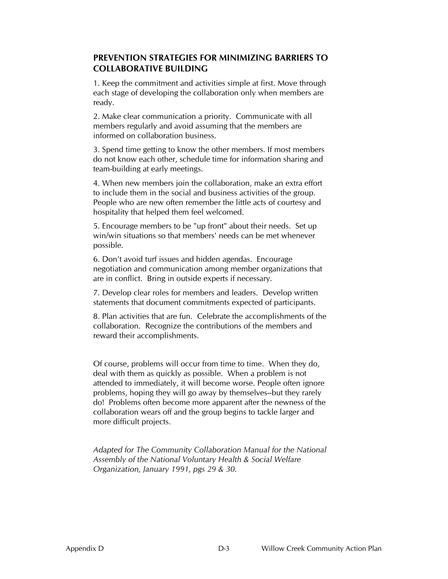#### **PREVENTION STRATEGIES FOR MINIMIZING BARRIERS TO COLLABORATIVE BUILDING**

1. Keep the commitment and activities simple at first. Move through each stage of developing the collaboration only when members are ready.

2. Make clear communication a priority. Communicate with all members regularly and avoid assuming that the members are informed on collaboration business.

3. Spend time getting to know the other members. If most members do not know each other, schedule time for information sharing and team-building at early meetings.

4. When new members join the collaboration, make an extra effort to include them in the social and business activities of the group. People who are new often remember the little acts of courtesy and hospitality that helped them feel welcomed.

5. Encourage members to be "up front" about their needs. Set up win/win situations so that members' needs can be met whenever possible.

6. Don't avoid turf issues and hidden agendas. Encourage negotiation and communication among member organizations that are in conflict. Bring in outside experts if necessary.

7. Develop clear roles for members and leaders. Develop written statements that document commitments expected of participants.

8. Plan activities that are fun. Celebrate the accomplishments of the collaboration. Recognize the contributions of the members and reward their accomplishments.

Of course, problems will occur from time to time. When they do, deal with them as quickly as possible. When a problem is not attended to immediately, it will become worse. People often ignore problems, hoping they will go away by themselves--but they rarely do! Problems often become more apparent after the newness of the collaboration wears off and the group begins to tackle larger and more difficult projects.

*Adapted for The Community Collaboration Manual for the National Assembly of the National Voluntary Health & Social Welfare Organization, January 1991, pgs 29 & 30.*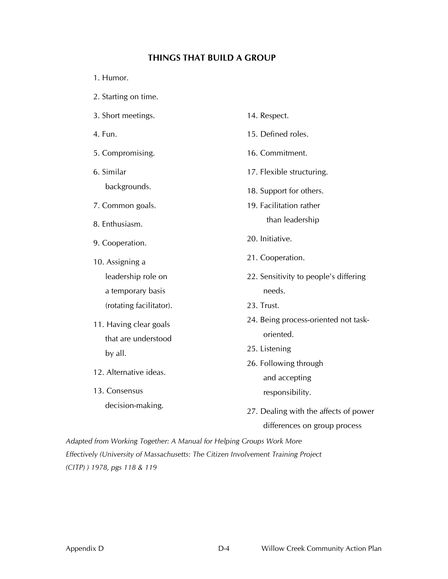#### **THINGS THAT BUILD A GROUP**

- 1. Humor.
- 2. Starting on time.
- 3. Short meetings.
- 4. Fun.
- 5. Compromising.
- 6. Similar backgrounds.
- 7. Common goals.
- 8. Enthusiasm.
- 9. Cooperation.
- 10. Assigning a leadership role on a temporary basis (rotating facilitator).
- 11. Having clear goals that are understood by all.
- 12. Alternative ideas.
- 13. Consensus decision-making.
- 14. Respect. 15. Defined roles. 16. Commitment. 17. Flexible structuring. 18. Support for others. 19. Facilitation rather than leadership 20. Initiative. 21. Cooperation. 22. Sensitivity to people's differing needs. 23. Trust. 24. Being process-oriented not taskoriented. 25. Listening 26. Following through and accepting responsibility.
- 27. Dealing with the affects of power differences on group process

*Adapted from Working Together: A Manual for Helping Groups Work More Effectively (University of Massachusetts: The Citizen Involvement Training Project (CITP) ) 1978, pgs 118 & 119*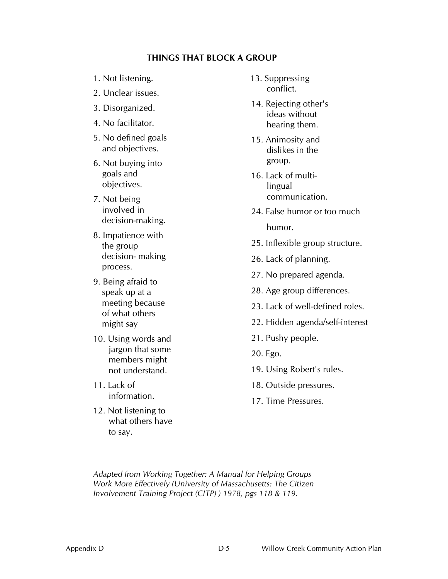#### **THINGS THAT BLOCK A GROUP**

- 1. Not listening.
- 2. Unclear issues.
- 3. Disorganized.
- 4. No facilitator.
- 5. No defined goals and objectives.
- 6. Not buying into goals and objectives.
- 7. Not being involved in decision-making.
- 8. Impatience with the group decision- making process.
- 9. Being afraid to speak up at a meeting because of what others might say
- 10. Using words and jargon that some members might not understand.
- 11. Lack of information.
- 12. Not listening to what others have to say.
- 13. Suppressing conflict.
- 14. Rejecting other's ideas without hearing them.
- 15. Animosity and dislikes in the group.
- 16. Lack of multilingual communication.
- 24. False humor or too much humor.
- 25. Inflexible group structure.
- 26. Lack of planning.
- 27. No prepared agenda.
- 28. Age group differences.
- 23. Lack of well-defined roles.
- 22. Hidden agenda/self-interest
- 21. Pushy people.
- 20. Ego.
- 19. Using Robert's rules.
- 18. Outside pressures.
- 17. Time Pressures.

*Adapted from Working Together: A Manual for Helping Groups Work More Effectively (University of Massachusetts: The Citizen Involvement Training Project (CITP) ) 1978, pgs 118 & 119.*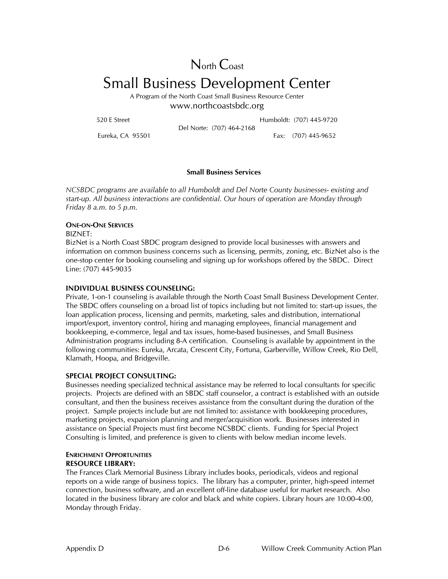North Coast

## Small Business Development Center

A Program of the North Coast Small Business Resource Center www.northcoastsbdc.org

520 E Street Humboldt: (707) 445-9720 Del Norte: (707) 464-2168

Eureka, CA 95501 Fax: (707) 445-9652

#### **Small Business Services**

*NCSBDC programs are available to all Humboldt and Del Norte County businesses- existing and start-up. All business interactions are confidential. Our hours of operation are Monday through Friday 8 a.m. to 5 p.m.* 

#### **ONE-ON-ONE SERVICES**

BIZNET:

BizNet is a North Coast SBDC program designed to provide local businesses with answers and information on common business concerns such as licensing, permits, zoning, etc. BizNet also is the one-stop center for booking counseling and signing up for workshops offered by the SBDC. Direct Line: (707) 445-9035

#### **INDIVIDUAL BUSINESS COUNSELING:**

Private, 1-on-1 counseling is available through the North Coast Small Business Development Center. The SBDC offers counseling on a broad list of topics including but not limited to: start-up issues, the loan application process, licensing and permits, marketing, sales and distribution, international import/export, inventory control, hiring and managing employees, financial management and bookkeeping, e-commerce, legal and tax issues, home-based businesses, and Small Business Administration programs including 8-A certification. Counseling is available by appointment in the following communities: Eureka, Arcata, Crescent City, Fortuna, Garberville, Willow Creek, Rio Dell, Klamath, Hoopa, and Bridgeville.

#### **SPECIAL PROJECT CONSULTING:**

Businesses needing specialized technical assistance may be referred to local consultants for specific projects. Projects are defined with an SBDC staff counselor, a contract is established with an outside consultant, and then the business receives assistance from the consultant during the duration of the project. Sample projects include but are not limited to: assistance with bookkeeping procedures, marketing projects, expansion planning and merger/acquisition work. Businesses interested in assistance on Special Projects must first become NCSBDC clients. Funding for Special Project Consulting is limited, and preference is given to clients with below median income levels.

#### **ENRICHMENT OPPORTUNITIES RESOURCE LIBRARY:**

The Frances Clark Memorial Business Library includes books, periodicals, videos and regional reports on a wide range of business topics. The library has a computer, printer, high-speed internet connection, business software, and an excellent off-line database useful for market research. Also located in the business library are color and black and white copiers. Library hours are 10:00-4:00, Monday through Friday.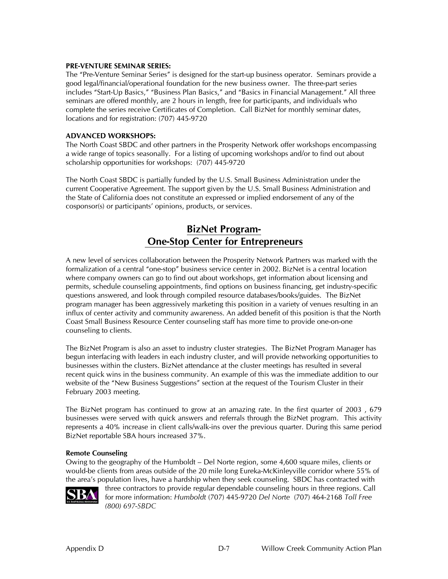#### **PRE-VENTURE SEMINAR SERIES:**

The "Pre-Venture Seminar Series" is designed for the start-up business operator. Seminars provide a good legal/financial/operational foundation for the new business owner. The three-part series includes "Start-Up Basics," "Business Plan Basics," and "Basics in Financial Management." All three seminars are offered monthly, are 2 hours in length, free for participants, and individuals who complete the series receive Certificates of Completion. Call BizNet for monthly seminar dates, locations and for registration: (707) 445-9720

#### **ADVANCED WORKSHOPS:**

The North Coast SBDC and other partners in the Prosperity Network offer workshops encompassing a wide range of topics seasonally. For a listing of upcoming workshops and/or to find out about scholarship opportunities for workshops: (707) 445-9720

The North Coast SBDC is partially funded by the U.S. Small Business Administration under the current Cooperative Agreement. The support given by the U.S. Small Business Administration and the State of California does not constitute an expressed or implied endorsement of any of the cosponsor(s) or participants' opinions, products, or services.

### **BizNet Program- One-Stop Center for Entrepreneurs**

A new level of services collaboration between the Prosperity Network Partners was marked with the formalization of a central "one-stop" business service center in 2002. BizNet is a central location where company owners can go to find out about workshops, get information about licensing and permits, schedule counseling appointments, find options on business financing, get industry-specific questions answered, and look through compiled resource databases/books/guides. The BizNet program manager has been aggressively marketing this position in a variety of venues resulting in an influx of center activity and community awareness. An added benefit of this position is that the North Coast Small Business Resource Center counseling staff has more time to provide one-on-one counseling to clients.

The BizNet Program is also an asset to industry cluster strategies. The BizNet Program Manager has begun interfacing with leaders in each industry cluster, and will provide networking opportunities to businesses within the clusters. BizNet attendance at the cluster meetings has resulted in several recent quick wins in the business community. An example of this was the immediate addition to our website of the "New Business Suggestions" section at the request of the Tourism Cluster in their February 2003 meeting.

The BizNet program has continued to grow at an amazing rate. In the first quarter of 2003 , 679 businesses were served with quick answers and referrals through the BizNet program. This activity represents a 40% increase in client calls/walk-ins over the previous quarter. During this same period BizNet reportable SBA hours increased 37%.

#### **Remote Counseling**

Owing to the geography of the Humboldt – Del Norte region, some 4,600 square miles, clients or would-be clients from areas outside of the 20 mile long Eureka-McKinleyville corridor where 55% of the area's population lives, have a hardship when they seek counseling. SBDC has contracted with



three contractors to provide regular dependable counseling hours in three regions. Call for more information: *Humboldt* (707) 445-9720 *Del Norte* (707) 464-2168 *Toll Free (800) 697-SBDC*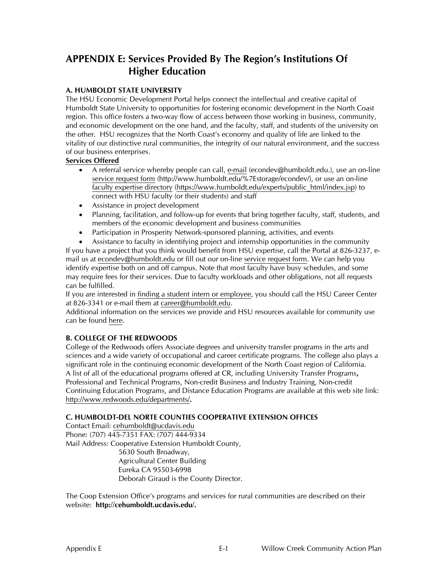### **APPENDIX E: Services Provided By The Region's Institutions Of Higher Education**

#### **A. HUMBOLDT STATE UNIVERSITY**

The HSU Economic Development Portal helps connect the intellectual and creative capital of Humboldt State University to opportunities for fostering economic development in the North Coast region. This office fosters a two-way flow of access between those working in business, community, and economic development on the one hand, and the faculty, staff, and students of the university on the other. HSU recognizes that the North Coast's economy and quality of life are linked to the vitality of our distinctive rural communities, the integrity of our natural environment, and the success of our business enterprises.

#### **Services Offered**

- A referral service whereby people can call, e-mail (econdev@humboldt.edu.), use an on-line service request form (http://www.humboldt.edu/%7Estorage/econdev/), or use an on-line faculty expertise directory (https://www.humboldt.edu/experts/public\_html/index.jsp) to connect with HSU faculty (or their students) and staff
- Assistance in project development
- Planning, facilitation, and follow-up for events that bring together faculty, staff, students, and members of the economic development and business communities
- Participation in Prosperity Network-sponsored planning, activities, and events
- Assistance to faculty in identifying project and internship opportunities in the community

If you have a project that you think would benefit from HSU expertise, call the Portal at 826-3237, email us at econdev@humboldt.edu or fill out our on-line service request form. We can help you identify expertise both on and off campus. Note that most faculty have busy schedules, and some may require fees for their services. Due to faculty workloads and other obligations, not all requests can be fulfilled.

If you are interested in finding a student intern or employee, you should call the HSU Career Center at 826-3341 or e-mail them at career@humboldt.edu.

Additional information on the services we provide and HSU resources available for community use can be found here.

#### **B. COLLEGE OF THE REDWOODS**

College of the Redwoods offers Associate degrees and university transfer programs in the arts and sciences and a wide variety of occupational and career certificate programs. The college also plays a significant role in the continuing economic development of the North Coast region of California. A list of all of the educational programs offered at CR, including University Transfer Programs**,**  Professional and Technical Programs, Non-credit Business and Industry Training, Non-credit Continuing Education Programs, and Distance Education Programs are available at this web site link: http://www.redwoods.edu/departments/**.** 

#### **C. HUMBOLDT-DEL NORTE COUNTIES COOPERATIVE EXTENSION OFFICES**

Contact Email: cehumboldt@ucdavis.edu Phone: (707) 445-7351 FAX: (707) 444-9334 Mail Address: Cooperative Extension Humboldt County, 5630 South Broadway, Agricultural Center Building Eureka CA 95503-6998 Deborah Giraud is the County Director.

The Coop Extension Office's programs and services for rural communities are described on their website: **http://cehumboldt.ucdavis.edu/.**